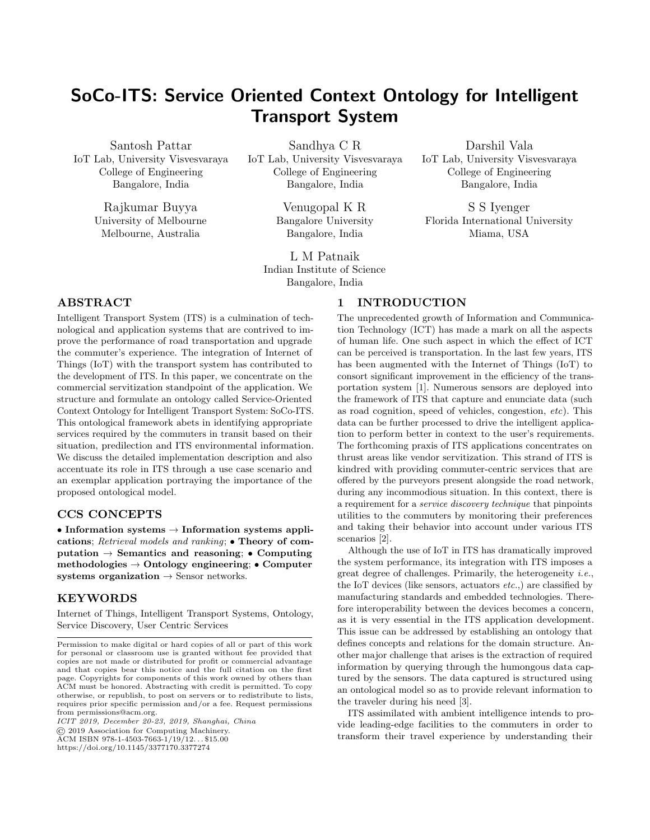# SoCo-ITS: Service Oriented Context Ontology for Intelligent Transport System

Santosh Pattar IoT Lab, University Visvesvaraya College of Engineering Bangalore, India

> Rajkumar Buyya University of Melbourne Melbourne, Australia

Sandhya C R IoT Lab, University Visvesvaraya College of Engineering Bangalore, India

> Venugopal K R Bangalore University Bangalore, India

L M Patnaik Indian Institute of Science Bangalore, India

Darshil Vala IoT Lab, University Visvesvaraya College of Engineering Bangalore, India

S S Iyenger Florida International University Miama, USA

# ABSTRACT

Intelligent Transport System (ITS) is a culmination of technological and application systems that are contrived to improve the performance of road transportation and upgrade the commuter's experience. The integration of Internet of Things (IoT) with the transport system has contributed to the development of ITS. In this paper, we concentrate on the commercial servitization standpoint of the application. We structure and formulate an ontology called Service-Oriented Context Ontology for Intelligent Transport System: SoCo-ITS. This ontological framework abets in identifying appropriate services required by the commuters in transit based on their situation, predilection and ITS environmental information. We discuss the detailed implementation description and also accentuate its role in ITS through a use case scenario and an exemplar application portraying the importance of the proposed ontological model.

### CCS CONCEPTS

• Information systems  $\rightarrow$  Information systems applications; Retrieval models and ranking; • Theory of computation  $\rightarrow$  Semantics and reasoning;  $\bullet$  Computing methodologies  $\rightarrow$  Ontology engineering; • Computer systems organization  $\rightarrow$  Sensor networks.

### KEYWORDS

Internet of Things, Intelligent Transport Systems, Ontology, Service Discovery, User Centric Services

ICIT 2019, December 20-23, 2019, Shanghai, China © 2019 Association for Computing Machinery.

ACM ISBN 978-1-4503-7663-1/19/12... \$15.00

<https://doi.org/10.1145/3377170.3377274>

#### 1 INTRODUCTION

The unprecedented growth of Information and Communication Technology (ICT) has made a mark on all the aspects of human life. One such aspect in which the effect of ICT can be perceived is transportation. In the last few years, ITS has been augmented with the Internet of Things (IoT) to consort significant improvement in the efficiency of the transportation system [\[1\]](#page-5-0). Numerous sensors are deployed into the framework of ITS that capture and enunciate data (such as road cognition, speed of vehicles, congestion, etc). This data can be further processed to drive the intelligent application to perform better in context to the user's requirements. The forthcoming praxis of ITS applications concentrates on thrust areas like vendor servitization. This strand of ITS is kindred with providing commuter-centric services that are offered by the purveyors present alongside the road network, during any incommodious situation. In this context, there is a requirement for a service discovery technique that pinpoints utilities to the commuters by monitoring their preferences and taking their behavior into account under various ITS scenarios [\[2\]](#page-5-1).

Although the use of IoT in ITS has dramatically improved the system performance, its integration with ITS imposes a great degree of challenges. Primarily, the heterogeneity i.e., the IoT devices (like sensors, actuators etc.,) are classified by manufacturing standards and embedded technologies. Therefore interoperability between the devices becomes a concern, as it is very essential in the ITS application development. This issue can be addressed by establishing an ontology that defines concepts and relations for the domain structure. Another major challenge that arises is the extraction of required information by querying through the humongous data captured by the sensors. The data captured is structured using an ontological model so as to provide relevant information to the traveler during his need [\[3\]](#page-5-2).

ITS assimilated with ambient intelligence intends to provide leading-edge facilities to the commuters in order to transform their travel experience by understanding their

Permission to make digital or hard copies of all or part of this work for personal or classroom use is granted without fee provided that copies are not made or distributed for profit or commercial advantage and that copies bear this notice and the full citation on the first page. Copyrights for components of this work owned by others than ACM must be honored. Abstracting with credit is permitted. To copy otherwise, or republish, to post on servers or to redistribute to lists, requires prior specific permission and/or a fee. Request permissions from permissions@acm.org.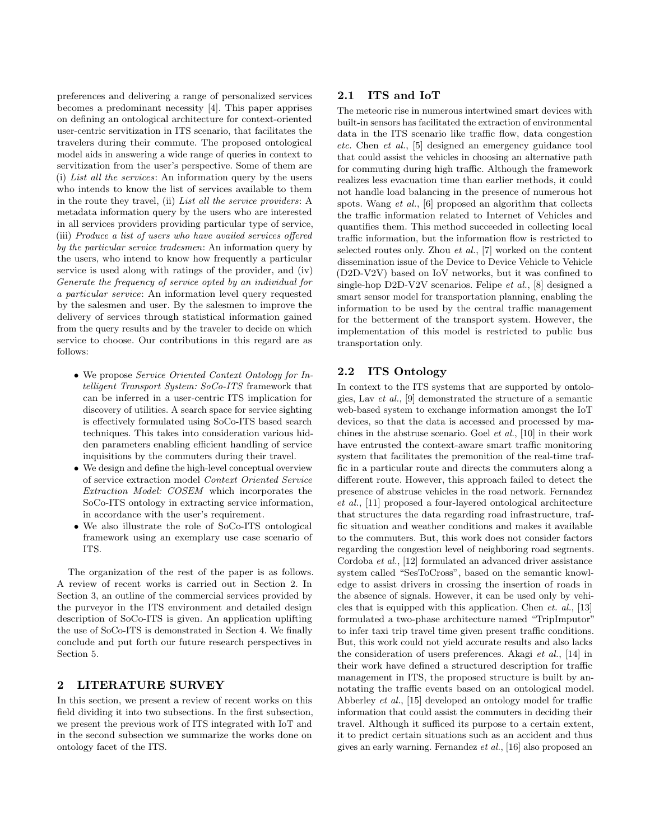preferences and delivering a range of personalized services becomes a predominant necessity [\[4\]](#page-5-3). This paper apprises on defining an ontological architecture for context-oriented user-centric servitization in ITS scenario, that facilitates the travelers during their commute. The proposed ontological model aids in answering a wide range of queries in context to servitization from the user's perspective. Some of them are (i) List all the services: An information query by the users who intends to know the list of services available to them in the route they travel, (ii) List all the service providers: A metadata information query by the users who are interested in all services providers providing particular type of service, (iii) Produce a list of users who have availed services offered by the particular service tradesmen: An information query by the users, who intend to know how frequently a particular service is used along with ratings of the provider, and (iv) Generate the frequency of service opted by an individual for a particular service: An information level query requested by the salesmen and user. By the salesmen to improve the delivery of services through statistical information gained from the query results and by the traveler to decide on which service to choose. Our contributions in this regard are as follows:

- ∙ We propose Service Oriented Context Ontology for Intelligent Transport System: SoCo-ITS framework that can be inferred in a user-centric ITS implication for discovery of utilities. A search space for service sighting is effectively formulated using SoCo-ITS based search techniques. This takes into consideration various hidden parameters enabling efficient handling of service inquisitions by the commuters during their travel.
- ∙ We design and define the high-level conceptual overview of service extraction model Context Oriented Service Extraction Model: COSEM which incorporates the SoCo-ITS ontology in extracting service information, in accordance with the user's requirement.
- ∙ We also illustrate the role of SoCo-ITS ontological framework using an exemplary use case scenario of ITS.

The organization of the rest of the paper is as follows. A review of recent works is carried out in Section [2.](#page-1-0) In Section [3,](#page-2-0) an outline of the commercial services provided by the purveyor in the ITS environment and detailed design description of SoCo-ITS is given. An application uplifting the use of SoCo-ITS is demonstrated in Section [4.](#page-4-0) We finally conclude and put forth our future research perspectives in Section [5.](#page-5-4)

### <span id="page-1-0"></span>2 LITERATURE SURVEY

In this section, we present a review of recent works on this field dividing it into two subsections. In the first subsection, we present the previous work of ITS integrated with IoT and in the second subsection we summarize the works done on ontology facet of the ITS.

# 2.1 ITS and IoT

The meteoric rise in numerous intertwined smart devices with built-in sensors has facilitated the extraction of environmental data in the ITS scenario like traffic flow, data congestion etc. Chen et al., [\[5\]](#page-5-5) designed an emergency guidance tool that could assist the vehicles in choosing an alternative path for commuting during high traffic. Although the framework realizes less evacuation time than earlier methods, it could not handle load balancing in the presence of numerous hot spots. Wang *et al.*, [\[6\]](#page-5-6) proposed an algorithm that collects the traffic information related to Internet of Vehicles and quantifies them. This method succeeded in collecting local traffic information, but the information flow is restricted to selected routes only. Zhou et al., [\[7\]](#page-5-7) worked on the content dissemination issue of the Device to Device Vehicle to Vehicle (D2D-V2V) based on IoV networks, but it was confined to single-hop D2D-V2V scenarios. Felipe et al., [\[8\]](#page-5-8) designed a smart sensor model for transportation planning, enabling the information to be used by the central traffic management for the betterment of the transport system. However, the implementation of this model is restricted to public bus transportation only.

### 2.2 ITS Ontology

In context to the ITS systems that are supported by ontologies, Lav et al., [\[9\]](#page-5-9) demonstrated the structure of a semantic web-based system to exchange information amongst the IoT devices, so that the data is accessed and processed by machines in the abstruse scenario. Goel et al., [\[10\]](#page-5-10) in their work have entrusted the context-aware smart traffic monitoring system that facilitates the premonition of the real-time traffic in a particular route and directs the commuters along a different route. However, this approach failed to detect the presence of abstruse vehicles in the road network. Fernandez et al., [\[11\]](#page-5-11) proposed a four-layered ontological architecture that structures the data regarding road infrastructure, traffic situation and weather conditions and makes it available to the commuters. But, this work does not consider factors regarding the congestion level of neighboring road segments. Cordoba et al., [\[12\]](#page-5-12) formulated an advanced driver assistance system called "SesToCross", based on the semantic knowledge to assist drivers in crossing the insertion of roads in the absence of signals. However, it can be used only by vehicles that is equipped with this application. Chen et. al., [\[13\]](#page-5-13) formulated a two-phase architecture named "TripImputor" to infer taxi trip travel time given present traffic conditions. But, this work could not yield accurate results and also lacks the consideration of users preferences. Akagi et al., [\[14\]](#page-5-14) in their work have defined a structured description for traffic management in ITS, the proposed structure is built by annotating the traffic events based on an ontological model. Abberley et al., [\[15\]](#page-5-15) developed an ontology model for traffic information that could assist the commuters in deciding their travel. Although it sufficed its purpose to a certain extent, it to predict certain situations such as an accident and thus gives an early warning. Fernandez et al., [\[16\]](#page-5-16) also proposed an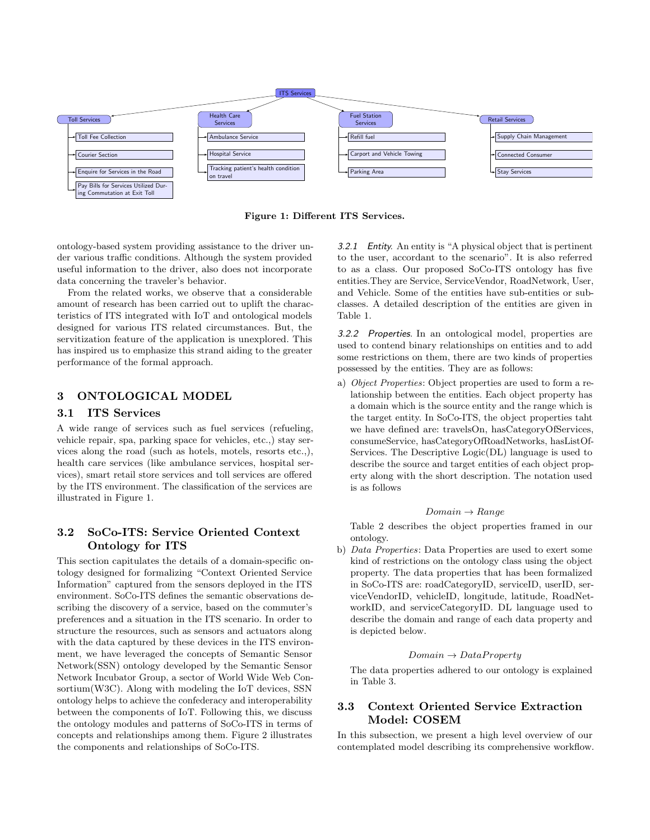<span id="page-2-1"></span>

Figure 1: Different ITS Services.

ontology-based system providing assistance to the driver under various traffic conditions. Although the system provided useful information to the driver, also does not incorporate data concerning the traveler's behavior.

From the related works, we observe that a considerable amount of research has been carried out to uplift the characteristics of ITS integrated with IoT and ontological models designed for various ITS related circumstances. But, the servitization feature of the application is unexplored. This has inspired us to emphasize this strand aiding to the greater performance of the formal approach.

# <span id="page-2-0"></span>3 ONTOLOGICAL MODEL

# 3.1 ITS Services

A wide range of services such as fuel services (refueling, vehicle repair, spa, parking space for vehicles, etc.,) stay services along the road (such as hotels, motels, resorts etc.,), health care services (like ambulance services, hospital services), smart retail store services and toll services are offered by the ITS environment. The classification of the services are illustrated in Figure [1.](#page-2-1)

# 3.2 SoCo-ITS: Service Oriented Context Ontology for ITS

This section capitulates the details of a domain-specific ontology designed for formalizing "Context Oriented Service Information" captured from the sensors deployed in the ITS environment. SoCo-ITS defines the semantic observations describing the discovery of a service, based on the commuter's preferences and a situation in the ITS scenario. In order to structure the resources, such as sensors and actuators along with the data captured by these devices in the ITS environment, we have leveraged the concepts of Semantic Sensor Network(SSN) ontology developed by the Semantic Sensor Network Incubator Group, a sector of World Wide Web Consortium(W3C). Along with modeling the IoT devices, SSN ontology helps to achieve the confederacy and interoperability between the components of IoT. Following this, we discuss the ontology modules and patterns of SoCo-ITS in terms of concepts and relationships among them. Figure [2](#page-3-0) illustrates the components and relationships of SoCo-ITS.

3.2.1 Entity. An entity is "A physical object that is pertinent to the user, accordant to the scenario". It is also referred to as a class. Our proposed SoCo-ITS ontology has five entities.They are Service, ServiceVendor, RoadNetwork, User, and Vehicle. Some of the entities have sub-entities or subclasses. A detailed description of the entities are given in Table [1.](#page-3-1)

3.2.2 Properties. In an ontological model, properties are used to contend binary relationships on entities and to add some restrictions on them, there are two kinds of properties possessed by the entities. They are as follows:

a) Object Properties: Object properties are used to form a relationship between the entities. Each object property has a domain which is the source entity and the range which is the target entity. In SoCo-ITS, the object properties taht we have defined are: travelsOn, hasCategoryOfServices, consumeService, hasCategoryOfRoadNetworks, hasListOf-Services. The Descriptive Logic(DL) language is used to describe the source and target entities of each object property along with the short description. The notation used is as follows

#### $Domain \rightarrow Range$

Table 2 describes the object properties framed in our ontology.

b) Data Properties: Data Properties are used to exert some kind of restrictions on the ontology class using the object property. The data properties that has been formalized in SoCo-ITS are: roadCategoryID, serviceID, userID, serviceVendorID, vehicleID, longitude, latitude, RoadNetworkID, and serviceCategoryID. DL language used to describe the domain and range of each data property and is depicted below.

#### $Domain \rightarrow DataProperty$

The data properties adhered to our ontology is explained in Table 3.

# 3.3 Context Oriented Service Extraction Model: COSEM

In this subsection, we present a high level overview of our contemplated model describing its comprehensive workflow.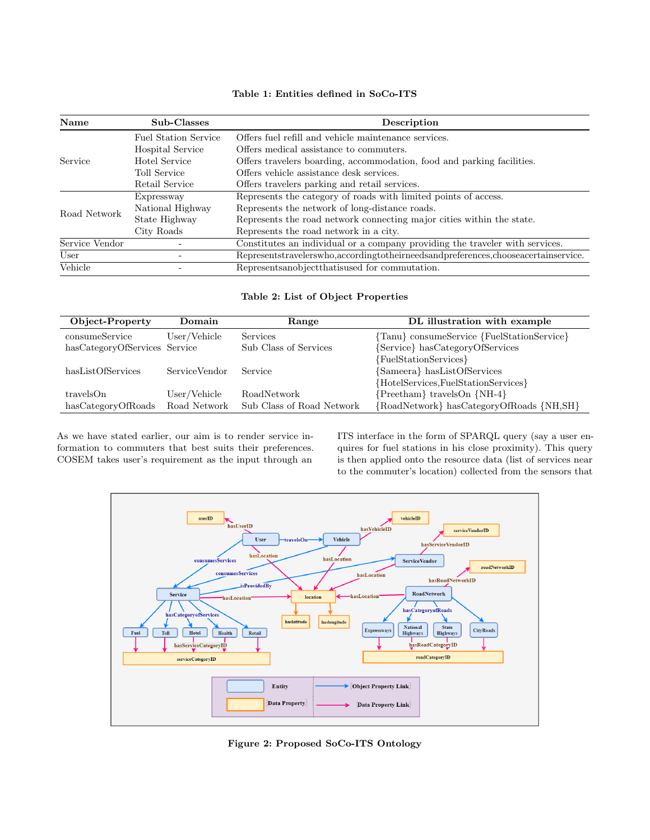# Table 1: Entities defined in SoCo-ITS

<span id="page-3-1"></span>

| Name           | Sub-Classes                 | Description                                                                               |  |
|----------------|-----------------------------|-------------------------------------------------------------------------------------------|--|
| Service        | <b>Fuel Station Service</b> | Offers fuel refill and vehicle maintenance services.                                      |  |
|                | <b>Hospital Service</b>     | Offers medical assistance to commuters.                                                   |  |
|                | Hotel Service               | Offers travelers boarding, accommodation, food and parking facilities.                    |  |
|                | <b>Toll Service</b>         | Offers vehicle assistance desk services.                                                  |  |
|                | Retail Service              | Offers travelers parking and retail services.                                             |  |
| Road Network   | Expressway                  | Represents the category of roads with limited points of access.                           |  |
|                | National Highway            | Represents the network of long-distance roads.                                            |  |
|                | State Highway               | Represents the road network connecting major cities within the state.                     |  |
|                | City Roads                  | Represents the road network in a city.                                                    |  |
| Service Vendor |                             | Constitutes an individual or a company providing the traveler with services.              |  |
| User           |                             | Representstravelerswho, according to their needs and preferences, choose acertainservice. |  |
| Vehicle        |                             | Represents<br>anobject that is used for commutation.                                      |  |

# Table 2: List of Object Properties

| Object-Property               | Domain        | Range                     | DL illustration with example               |
|-------------------------------|---------------|---------------------------|--------------------------------------------|
| consumeService                | User/Vehicle  | Services                  | {Tanu} consumeService {FuelStationService} |
| hasCategoryOfServices Service |               | Sub Class of Services     | {Service} hasCategoryOfServices            |
|                               |               |                           | {FuelStationServices}                      |
| hasListOfServices             | ServiceVendor | Service                   | {Sameera} hasListOfServices                |
|                               |               |                           | {HotelServices,FuelStationServices}        |
| travelsOn                     | User/Vehicle  | <b>RoadNetwork</b>        | ${Preetham}$ travelsOn ${NH-4}$            |
| hasCategoryOfRoads            | Road Network  | Sub Class of Road Network | {RoadNetwork} hasCategoryOfRoads {NH,SH}   |

As we have stated earlier, our aim is to render service information to commuters that best suits their preferences. COSEM takes user's requirement as the input through an

ITS interface in the form of SPARQL query (say a user enquires for fuel stations in his close proximity). This query is then applied onto the resource data (list of services near to the commuter's location) collected from the sensors that

<span id="page-3-0"></span>

Figure 2: Proposed SoCo-ITS Ontology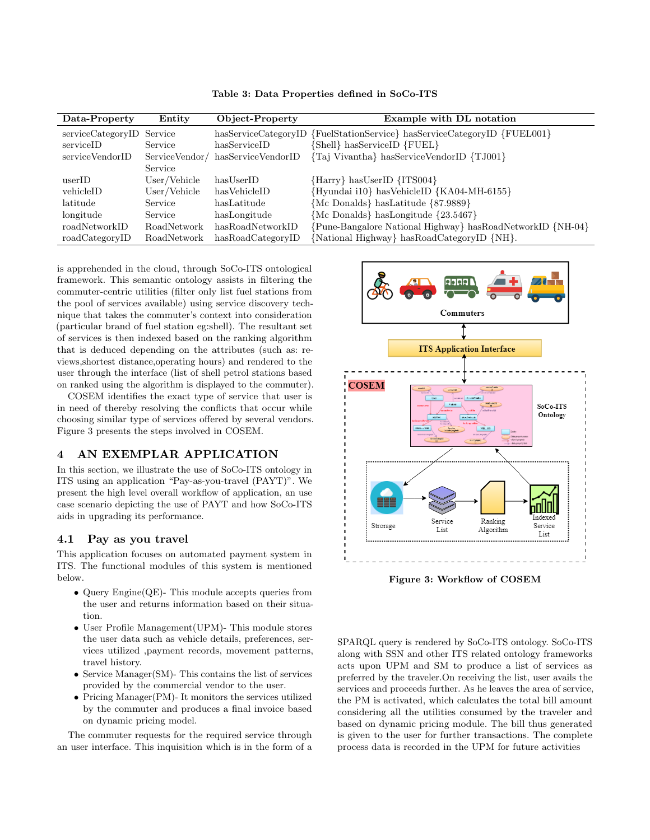| Data-Property             | Entity       | Object-Property                  | Example with DL notation                                                 |
|---------------------------|--------------|----------------------------------|--------------------------------------------------------------------------|
| serviceCategoryID Service |              |                                  | hasServiceCategoryID {FuelStationService} hasServiceCategoryID {FUEL001} |
| serviceID                 | Service      | hasServiceID                     | [Shell} hasServiceID {FUEL}                                              |
| serviceVendorID           |              | ServiceVendor/hasServiceVendorID | {Taj Vivantha} hasServiceVendorID {TJ001}                                |
|                           | Service      |                                  |                                                                          |
| userID                    | User/Vehicle | hasUserID                        | {Harry} hasUserID {ITS004}                                               |
| vehicleID                 | User/Vehicle | hasVehicleID                     | {Hyundai i10} hasVehicleID {KA04-MH-6155}                                |
| latitude                  | Service      | hasLatitude                      | {Mc Donalds} hasLatitude {87.9889}                                       |
| longitude                 | Service      | hasLongitude                     | ${Mc Donalds}$ has Longitude ${23.5467}$                                 |
| roadNetworkID             | RoadNetwork  | hasRoadNetworkID                 | {Pune-Bangalore National Highway} hasRoadNetworkID {NH-04}               |
| roadCategoryID            | RoadNetwork  | hasRoadCategoryID                | {National Highway} hasRoadCategoryID {NH}.                               |

Table 3: Data Properties defined in SoCo-ITS

is apprehended in the cloud, through SoCo-ITS ontological framework. This semantic ontology assists in filtering the commuter-centric utilities (filter only list fuel stations from the pool of services available) using service discovery technique that takes the commuter's context into consideration (particular brand of fuel station eg:shell). The resultant set of services is then indexed based on the ranking algorithm that is deduced depending on the attributes (such as: reviews,shortest distance,operating hours) and rendered to the user through the interface (list of shell petrol stations based on ranked using the algorithm is displayed to the commuter).

COSEM identifies the exact type of service that user is in need of thereby resolving the conflicts that occur while choosing similar type of services offered by several vendors. Figure 3 presents the steps involved in COSEM.

# <span id="page-4-0"></span>4 AN EXEMPLAR APPLICATION

In this section, we illustrate the use of SoCo-ITS ontology in ITS using an application "Pay-as-you-travel (PAYT)". We present the high level overall workflow of application, an use case scenario depicting the use of PAYT and how SoCo-ITS aids in upgrading its performance.

### 4.1 Pay as you travel

This application focuses on automated payment system in ITS. The functional modules of this system is mentioned below.

- ∙ Query Engine(QE)- This module accepts queries from the user and returns information based on their situation.
- ∙ User Profile Management(UPM)- This module stores the user data such as vehicle details, preferences, services utilized ,payment records, movement patterns, travel history.
- ∙ Service Manager(SM)- This contains the list of services provided by the commercial vendor to the user.
- ∙ Pricing Manager(PM)- It monitors the services utilized by the commuter and produces a final invoice based on dynamic pricing model.

The commuter requests for the required service through an user interface. This inquisition which is in the form of a



Figure 3: Workflow of COSEM

SPARQL query is rendered by SoCo-ITS ontology. SoCo-ITS along with SSN and other ITS related ontology frameworks acts upon UPM and SM to produce a list of services as preferred by the traveler.On receiving the list, user avails the services and proceeds further. As he leaves the area of service, the PM is activated, which calculates the total bill amount considering all the utilities consumed by the traveler and based on dynamic pricing module. The bill thus generated is given to the user for further transactions. The complete process data is recorded in the UPM for future activities